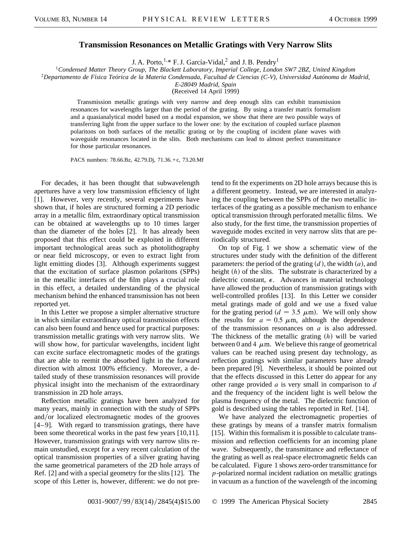## **Transmission Resonances on Metallic Gratings with Very Narrow Slits**

J. A. Porto,  $1, *$  F. J. García-Vidal, 2 and J. B. Pendry<sup>1</sup>

<sup>1</sup>*Condensed Matter Theory Group, The Blackett Laboratory, Imperial College, London SW7 2BZ, United Kingdom*

<sup>2</sup>*Departamento de Fı´sica Teórica de la Materia Condensada, Facultad de Ciencias (C-V), Universidad Autónoma de Madrid,*

*E-28049 Madrid, Spain*

(Received 14 April 1999)

Transmission metallic gratings with very narrow and deep enough slits can exhibit transmission resonances for wavelengths larger than the period of the grating. By using a transfer matrix formalism and a quasianalytical model based on a modal expansion, we show that there are two possible ways of transferring light from the upper surface to the lower one: by the excitation of coupled surface plasmon polaritons on both surfaces of the metallic grating or by the coupling of incident plane waves with waveguide resonances located in the slits. Both mechanisms can lead to almost perfect transmittance for those particular resonances.

PACS numbers: 78.66.Bz, 42.79.Dj, 71.36.+c, 73.20.Mf

For decades, it has been thought that subwavelength apertures have a very low transmission efficiency of light [1]. However, very recently, several experiments have shown that, if holes are structured forming a 2D periodic array in a metallic film, extraordinary optical transmission can be obtained at wavelengths up to 10 times larger than the diameter of the holes [2]. It has already been proposed that this effect could be exploited in different important technological areas such as photolithography or near field microscopy, or even to extract light from light emitting diodes [3]. Although experiments suggest that the excitation of surface plasmon polaritons (SPPs) in the metallic interfaces of the film plays a crucial role in this effect, a detailed understanding of the physical mechanism behind the enhanced transmission has not been reported yet.

In this Letter we propose a simpler alternative structure in which similar extraordinary optical transmission effects can also been found and hence used for practical purposes: transmission metallic gratings with very narrow slits. We will show how, for particular wavelengths, incident light can excite surface electromagnetic modes of the gratings that are able to reemit the absorbed light in the forward direction with almost 100% efficiency. Moreover, a detailed study of these transmission resonances will provide physical insight into the mechanism of the extraordinary transmission in 2D hole arrays.

Reflection metallic gratings have been analyzed for many years, mainly in connection with the study of SPPs and/or localized electromagnetic modes of the grooves [4–9]. With regard to transmission gratings, there have been some theoretical works in the past few years [10,11]. However, transmission gratings with very narrow slits remain unstudied, except for a very recent calculation of the optical transmission properties of a silver grating having the same geometrical parameters of the 2D hole arrays of Ref. [2] and with a special geometry for the slits [12]. The scope of this Letter is, however, different: we do not pretend to fit the experiments on 2D hole arrays because this is a different geometry. Instead, we are interested in analyzing the coupling between the SPPs of the two metallic interfaces of the grating as a possible mechanism to enhance optical transmission through perforated metallic films. We also study, for the first time, the transmission properties of waveguide modes excited in very narrow slits that are periodically structured.

On top of Fig. 1 we show a schematic view of the structures under study with the definition of the different parameters: the period of the grating  $(d)$ , the width  $(a)$ , and height  $(h)$  of the slits. The substrate is characterized by a dielectric constant,  $\epsilon$ . Advances in material technology have allowed the production of transmission gratings with well-controlled profiles [13]. In this Letter we consider metal gratings made of gold and we use a fixed value for the grating period ( $d = 3.5 \mu$ m). We will only show the results for  $a = 0.5 \mu m$ , although the dependence of the transmission resonances on *a* is also addressed. The thickness of the metallic grating (h) will be varied between 0 and 4  $\mu$ m. We believe this range of geometrical values can be reached using present day technology, as reflection gratings with similar parameters have already been prepared [9]. Nevertheless, it should be pointed out that the effects discussed in this Letter do appear for any other range provided *a* is very small in comparison to *d* and the frequency of the incident light is well below the plasma frequency of the metal. The dielectric function of gold is described using the tables reported in Ref. [14].

We have analyzed the electromagnetic properties of these gratings by means of a transfer matrix formalism [15]. Within this formalism it is possible to calculate transmission and reflection coefficients for an incoming plane wave. Subsequently, the transmittance and reflectance of the grating as well as real-space electromagnetic fields can be calculated. Figure 1 shows zero-order transmittance for *p*-polarized normal incident radiation on metallic gratings in vacuum as a function of the wavelength of the incoming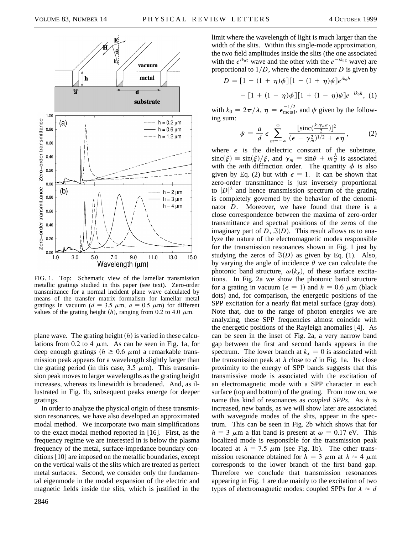

FIG. 1. Top: Schematic view of the lamellar transmission metallic gratings studied in this paper (see text). Zero-order transmittance for a normal incident plane wave calculated by means of the transfer matrix formalism for lamellar metal gratings in vacuum ( $d = 3.5 \mu$ m,  $a = 0.5 \mu$ m) for different values of the grating height  $(h)$ , ranging from 0.2 to 4.0  $\mu$ m.

plane wave. The grating height  $(h)$  is varied in these calculations from 0.2 to 4  $\mu$ m. As can be seen in Fig. 1a, for deep enough gratings ( $h \ge 0.6 \mu$ m) a remarkable transmission peak appears for a wavelength slightly larger than the grating period (in this case,  $3.5 \mu$ m). This transmission peak moves to larger wavelengths as the grating height increases, whereas its linewidth is broadened. And, as illustrated in Fig. 1b, subsequent peaks emerge for deeper gratings.

In order to analyze the physical origin of these transmission resonances, we have also developed an approximated modal method. We incorporate two main simplifications to the exact modal method reported in [16]. First, as the frequency regime we are interested in is below the plasma frequency of the metal, surface-impedance boundary conditions [10] are imposed on the metallic boundaries, except on the vertical walls of the slits which are treated as perfect metal surfaces. Second, we consider only the fundamental eigenmode in the modal expansion of the electric and magnetic fields inside the slits, which is justified in the

limit where the wavelength of light is much larger than the width of the slits. Within this single-mode approximation, the two field amplitudes inside the slits (the one associated with the  $e^{ik_0z}$  wave and the other with the  $e^{-ik_0z}$  wave) are proportional to  $1/D$ , where the denominator *D* is given by  $(1 + m)$   $\angle$  1  $1$  $(1 + m)$ <sub>ik</sub> $l_a$ <sup>ik<sub>0</sub>h</sup>

$$
D = [1 - (1 + \eta)\phi][1 - (1 + \eta)\psi]e^{ik_0h}
$$

$$
- [1 + (1 - \eta)\phi][1 + (1 - \eta)\psi]e^{-ik_0h}, (1)
$$

with  $k_0 = 2\pi/\lambda$ ,  $\eta = \epsilon_{\text{metal}}^{-1/2}$ , and  $\psi$  given by the following sum:

$$
\psi = \frac{a}{d} \epsilon \sum_{m=-\infty}^{\infty} \frac{[\operatorname{sinc}(\frac{k_0 \gamma_m a}{2})]^2}{(\epsilon - \gamma_m^2)^{1/2} + \epsilon \eta}, \qquad (2)
$$

where  $\epsilon$  is the dielectric constant of the substrate,  $\operatorname{sinc}(\xi) \equiv \sin(\xi)/\xi$ , and  $\gamma_m = \sin\theta + m\frac{\lambda}{d}$  is associated with the *m*th diffraction order. The quantity  $\phi$  is also given by Eq. (2) but with  $\epsilon = 1$ . It can be shown that zero-order transmittance is just inversely proportional to  $|D|^2$  and hence transmission spectrum of the grating is completely governed by the behavior of the denominator *D*. Moreover, we have found that there is a close correspondence between the maxima of zero-order transmittance and spectral positions of the zeros of the imaginary part of  $D$ ,  $\Im(D)$ . This result allows us to analyze the nature of the electromagnetic modes responsible for the transmission resonances shown in Fig. 1 just by studying the zeros of  $\Im(D)$  as given by Eq. (1). Also, by varying the angle of incidence  $\theta$  we can calculate the photonic band structure,  $\omega(k_x)$ , of these surface excitations. In Fig. 2a we show the photonic band structure for a grating in vacuum ( $\epsilon = 1$ ) and  $h = 0.6 \mu$ m (black dots) and, for comparison, the energetic positions of the SPP excitation for a nearly flat metal surface (gray dots). Note that, due to the range of photon energies we are analyzing, these SPP frequencies almost coincide with the energetic positions of the Rayleigh anomalies [4]. As can be seen in the inset of Fig. 2a, a very narrow band gap between the first and second bands appears in the spectrum. The lower branch at  $k_x = 0$  is associated with the transmission peak at  $\lambda$  close to  $d$  in Fig. 1a. Its close proximity to the energy of SPP bands suggests that this transmissive mode is associated with the excitation of an electromagnetic mode with a SPP character in each surface (top and bottom) of the grating. From now on, we name this kind of resonances as *coupled SPPs.* As *h* is increased, new bands, as we will show later are associated with waveguide modes of the slits, appear in the spectrum. This can be seen in Fig. 2b which shows that for  $h = 3 \mu m$  a flat band is present at  $\omega = 0.17 \text{ eV}$ . This localized mode is responsible for the transmission peak located at  $\lambda = 7.5 \mu m$  (see Fig. 1b). The other transmission resonance obtained for  $h = 3 \mu m$  at  $\lambda \approx 4 \mu m$ corresponds to the lower branch of the first band gap. Therefore we conclude that transmission resonances appearing in Fig. 1 are due mainly to the excitation of two types of electromagnetic modes: coupled SPPs for  $\lambda \approx d$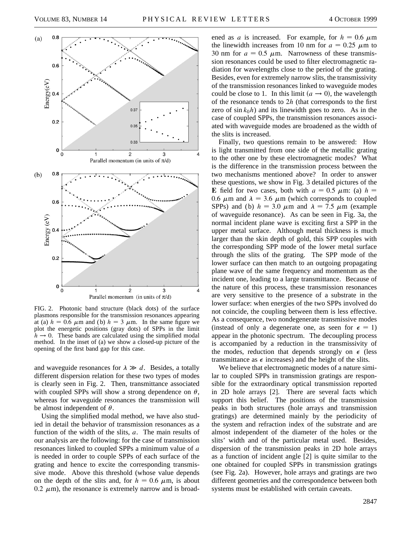

FIG. 2. Photonic band structure (black dots) of the surface plasmons responsible for the transmission resonances appearing at (a)  $h = 0.6 \mu m$  and (b)  $h = 3 \mu m$ . In the same figure we plot the energetic positions (gray dots) of SPPs in the limit  $h \rightarrow 0$ . These bands are calculated using the simplified modal method. In the inset of (a) we show a closed-up picture of the opening of the first band gap for this case.

and waveguide resonances for  $\lambda \gg d$ . Besides, a totally different dispersion relation for these two types of modes is clearly seen in Fig. 2. Then, transmittance associated with coupled SPPs will show a strong dependence on  $\theta$ , whereas for waveguide resonances the transmission will be almost independent of  $\theta$ .

Using the simplified modal method, we have also studied in detail the behavior of transmission resonances as a function of the width of the slits, *a*. The main results of our analysis are the following: for the case of transmission resonances linked to coupled SPPs a minimum value of *a* is needed in order to couple SPPs of each surface of the grating and hence to excite the corresponding transmissive mode. Above this threshold (whose value depends on the depth of the slits and, for  $h = 0.6 \mu$ m, is about 0.2  $\mu$ m), the resonance is extremely narrow and is broad-

ened as *a* is increased. For example, for  $h = 0.6 \mu m$ the linewidth increases from 10 nm for  $a = 0.25 \mu m$  to 30 nm for  $a = 0.5 \mu$ m. Narrowness of these transmission resonances could be used to filter electromagnetic radiation for wavelengths close to the period of the grating. Besides, even for extremely narrow slits, the transmissivity of the transmission resonances linked to waveguide modes could be close to 1. In this limit  $(a \rightarrow 0)$ , the wavelength of the resonance tends to 2*h* (that corresponds to the first zero of  $\sin k_0 h$ ) and its linewidth goes to zero. As in the case of coupled SPPs, the transmission resonances associated with waveguide modes are broadened as the width of the slits is increased.

Finally, two questions remain to be answered: How is light transmitted from one side of the metallic grating to the other one by these electromagnetic modes? What is the difference in the transmission process between the two mechanisms mentioned above? In order to answer these questions, we show in Fig. 3 detailed pictures of the **E** field for two cases, both with  $a = 0.5 \mu$ m: (a)  $h =$ 0.6  $\mu$ m and  $\lambda = 3.6 \mu$ m (which corresponds to coupled SPPs) and (b)  $h = 3.0 \mu m$  and  $\lambda = 7.5 \mu m$  (example of waveguide resonance). As can be seen in Fig. 3a, the normal incident plane wave is exciting first a SPP in the upper metal surface. Although metal thickness is much larger than the skin depth of gold, this SPP couples with the corresponding SPP mode of the lower metal surface through the slits of the grating. The SPP mode of the lower surface can then match to an outgoing propagating plane wave of the same frequency and momentum as the incident one, leading to a large transmittance. Because of the nature of this process, these transmission resonances are very sensitive to the presence of a substrate in the lower surface: when energies of the two SPPs involved do not coincide, the coupling between them is less effective. As a consequence, two nondegenerate transmissive modes (instead of only a degenerate one, as seen for  $\epsilon = 1$ ) appear in the photonic spectrum. The decoupling process is accompanied by a reduction in the transmissivity of the modes, reduction that depends strongly on  $\epsilon$  (less transmittance as  $\epsilon$  increases) and the height of the slits.

We believe that electromagnetic modes of a nature similar to coupled SPPs in transmission gratings are responsible for the extraordinary optical transmission reported in 2D hole arrays [2]. There are several facts which support this belief. The positions of the transmission peaks in both structures (hole arrays and transmission gratings) are determined mainly by the periodicity of the system and refraction index of the substrate and are almost independent of the diameter of the holes or the slits' width and of the particular metal used. Besides, dispersion of the transmission peaks in 2D hole arrays as a function of incident angle [2] is quite similar to the one obtained for coupled SPPs in transmission gratings (see Fig. 2a). However, hole arrays and gratings are two different geometries and the correspondence between both systems must be established with certain caveats.